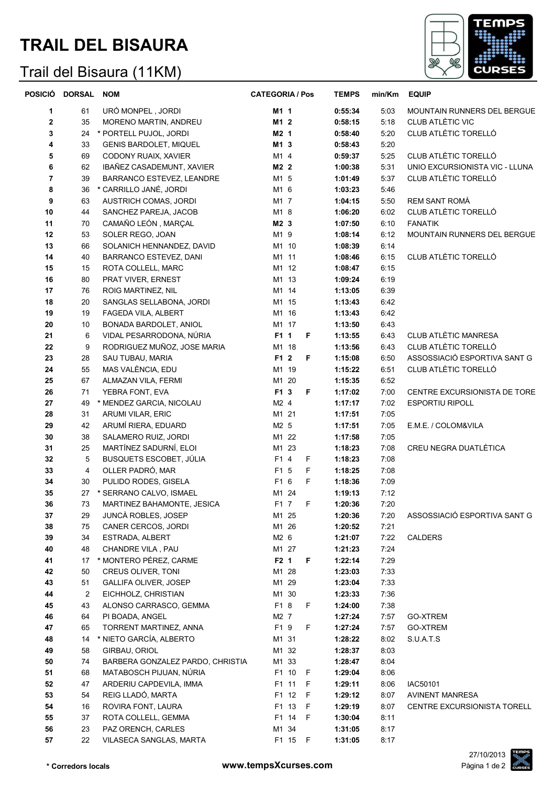## **TRAIL DEL BISAURA**

## Trail del Bisaura (11KM)



|          | POSICIÓ DORSAL | <b>NOM</b>                                 | <b>CATEGORIA / Pos</b> | <b>TEMPS</b>       | min/Km       | <b>EQUIP</b>                   |
|----------|----------------|--------------------------------------------|------------------------|--------------------|--------------|--------------------------------|
| 1        | 61             | URÓ MONPEL, JORDI                          | M1 1                   | 0:55:34            | 5:03         | MOUNTAIN RUNNERS DEL BERGUE    |
| 2        | 35             | MORENO MARTIN, ANDREU                      | M1 2                   | 0:58:15            | 5:18         | CLUB ATLÈTIC VIC               |
| 3        | 24             | * PORTELL PUJOL, JORDI                     | M2 1                   | 0:58:40            | 5:20         | CLUB ATLÈTIC TORELLÓ           |
| 4        | 33             | <b>GENIS BARDOLET, MIQUEL</b>              | M1 3                   | 0:58:43            | 5:20         |                                |
| 5        | 69             | CODONY RUAIX, XAVIER                       | M1 4                   | 0:59:37            | 5:25         | CLUB ATLÈTIC TORELLÓ           |
| 6        | 62             | IBAÑEZ CASADEMUNT, XAVIER                  | M2 2                   | 1:00:38            | 5:31         | UNIO EXCURSIONISTA VIC - LLUNA |
| 7        | 39             | BARRANCO ESTEVEZ, LEANDRE                  | M1 5                   | 1:01:49            | 5:37         | CLUB ATLÈTIC TORELLÓ           |
| 8        | 36             | * CARRILLO JANÉ, JORDI                     | M1 6                   | 1:03:23            | 5:46         |                                |
| 9        | 63             | AUSTRICH COMAS, JORDI                      | M1 7                   | 1:04:15            | 5:50         | <b>REM SANT ROMÀ</b>           |
| 10       | 44             | SANCHEZ PAREJA, JACOB                      | M1 8                   | 1:06:20            | 6:02         | CLUB ATLÈTIC TORELLÓ           |
| 11       | 70             | CAMAÑO LEÓN, MARÇAL                        | M2 3                   | 1:07:50            | 6:10         | <b>FANATIK</b>                 |
| 12       | 53             | SOLER REGO, JOAN                           | M1 9                   | 1:08:14            | 6:12         | MOUNTAIN RUNNERS DEL BERGUE    |
| 13       | 66             | SOLANICH HENNANDEZ, DAVID                  | M1 10                  | 1:08:39            | 6:14         |                                |
| 14       | 40             | BARRANCO ESTEVEZ, DANI                     | M1 11                  | 1:08:46            | 6:15         | CLUB ATLÈTIC TORELLÓ           |
| 15       | 15             | ROTA COLLELL, MARC                         | M1 12                  | 1:08:47            | 6:15         |                                |
| 16       | 80             | PRAT VIVER, ERNEST                         | M1 13                  | 1:09:24            | 6:19         |                                |
| 17       | 76             | ROIG MARTINEZ, NIL                         | M1 14                  | 1:13:05            | 6:39         |                                |
| 18       | 20             | SANGLAS SELLABONA, JORDI                   | M1 15                  | 1:13:43            | 6:42         |                                |
| 19       | 19             | FAGEDA VILA, ALBERT                        | M1 16                  | 1:13:43            | 6:42         |                                |
| 20       | 10             | BONADA BARDOLET, ANIOL                     | M1 17                  | 1:13:50            | 6:43         |                                |
| 21       | 6              | VIDAL PESARRODONA, NÚRIA                   | F1 1<br>F              | 1:13:55            | 6:43         | <b>CLUB ATLÈTIC MANRESA</b>    |
| 22       | 9              | RODRIGUEZ MUÑOZ, JOSE MARIA                | M1 18                  | 1:13:56            | 6:43         | CLUB ATLÈTIC TORELLÓ           |
| 23       | 28             | SAU TUBAU, MARIA                           | F1 2<br>F              | 1:15:08            | 6:50         | ASSOSSIACIÓ ESPORTIVA SANT G   |
| 24       | 55             | MAS VALÈNCIA, EDU                          | M1 19                  | 1:15:22            | 6:51         | CLUB ATLÈTIC TORELLÓ           |
| 25       | 67             | ALMAZAN VILA, FERMI                        | M1 20                  | 1:15:35            | 6:52         |                                |
| 26       | 71             | YEBRA FONT, EVA                            | F1 3<br>F              | 1:17:02            | 7:00         | CENTRE EXCURSIONISTA DE TORE   |
| 27       | 49             | * MENDEZ GARCIA, NICOLAU                   | M2 4                   | 1:17:17            | 7:02         | <b>ESPORTIU RIPOLL</b>         |
| 28       | 31             | <b>ARUMI VILAR, ERIC</b>                   | M1 21                  | 1:17:51            | 7:05         |                                |
| 29       | 42             | ARUMÍ RIERA, EDUARD                        | M2 5                   | 1:17:51            | 7:05         | E.M.E. / COLOM&VILA            |
| 30       | 38             | SALAMERO RUIZ, JORDI                       | M1 22                  | 1:17:58            | 7:05         |                                |
| 31       | 25             | MARTÍNEZ SADURNÍ, ELOI                     | M1 23                  | 1:18:23            | 7:08         | CREU NEGRA DUATLÈTICA          |
| 32       | 5              | BUSQUETS ESCOBET, JÚLIA                    | F1 4<br>F              | 1:18:23            | 7:08         |                                |
| 33       | 4              | OLLER PADRÓ, MAR                           | F<br>F1 5              | 1:18:25            | 7:08         |                                |
| 34       | 30             | PULIDO RODES, GISELA                       | F1 6<br>F              | 1:18:36            | 7:09         |                                |
| 35       | 27             | * SERRANO CALVO, ISMAEL                    | M1 24                  | 1:19:13            | 7:12         |                                |
| 36       | 73             | MARTINEZ BAHAMONTE, JESICA                 | F<br>F1 7              | 1:20:36            | 7:20         |                                |
| 37<br>38 | 29<br>75       | JUNCÀ ROBLES, JOSEP<br>CANER CERCOS, JORDI | M1 25<br>M1 26         | 1:20:36            | 7:20<br>7:21 | ASSOSSIACIÓ ESPORTIVA SANT G   |
| 39       | 34             | ESTRADA, ALBERT                            | M2 6                   | 1:20:52            | 7:22         | <b>CALDERS</b>                 |
| 40       | 48             | CHANDRE VILA, PAU                          | M1 27                  | 1:21:07<br>1:21:23 | 7:24         |                                |
| 41       | 17             | * MONTERO PÉREZ, CARME                     | F2 1<br>F              | 1:22:14            | 7:29         |                                |
| 42       | 50             | <b>CREUS OLIVER, TONI</b>                  | M1 28                  | 1:23:03            | 7:33         |                                |
| 43       | 51             | <b>GALLIFA OLIVER, JOSEP</b>               | M1 29                  | 1:23:04            | 7:33         |                                |
| 44       | 2              | EICHHOLZ, CHRISTIAN                        | M1 30                  | 1:23:33            | 7:36         |                                |
| 45       | 43             | ALONSO CARRASCO, GEMMA                     | F1 8<br>F              | 1:24:00            | 7:38         |                                |
| 46       | 64             | PI BOADA, ANGEL                            | M2 7                   | 1:27:24            | 7:57         | GO-XTREM                       |
| 47       | 65             | TORRENT MARTINEZ, ANNA                     | F1 9<br>F              | 1:27:24            | 7:57         | GO-XTREM                       |
| 48       | 14             | * NIETO GARCÍA, ALBERTO                    | M1 31                  | 1:28:22            | 8:02         | S.U.A.T.S                      |
| 49       | 58             | GIRBAU, ORIOL                              | M1 32                  | 1:28:37            | 8:03         |                                |
| 50       | 74             | BARBERA GONZALEZ PARDO, CHRISTIA           | M1 33                  | 1:28:47            | 8:04         |                                |
| 51       | 68             | MATABOSCH PIJUAN, NÚRIA                    | F1 10<br>F             | 1:29:04            | 8:06         |                                |
| 52       | 47             | ARDERIU CAPDEVILA, IMMA                    | F1 11<br>F             | 1:29:11            | 8:06         | IAC50101                       |
| 53       | 54             | REIG LLADÓ, MARTA                          | F1 12<br>F             | 1:29:12            | 8:07         | <b>AVINENT MANRESA</b>         |
| 54       | 16             | ROVIRA FONT, LAURA                         | F1 13<br>F             | 1:29:19            | 8:07         | CENTRE EXCURSIONISTA TORELL    |
| 55       | 37             | ROTA COLLELL, GEMMA                        | F1 14<br>F             | 1:30:04            | 8:11         |                                |
| 56       | 23             | PAZ ORENCH, CARLES                         | M1 34                  | 1:31:05            | 8:17         |                                |
| 57       | 22             | VILASECA SANGLAS, MARTA                    | F1 15 F                | 1:31:05            | 8:17         |                                |
|          |                |                                            |                        |                    |              |                                |